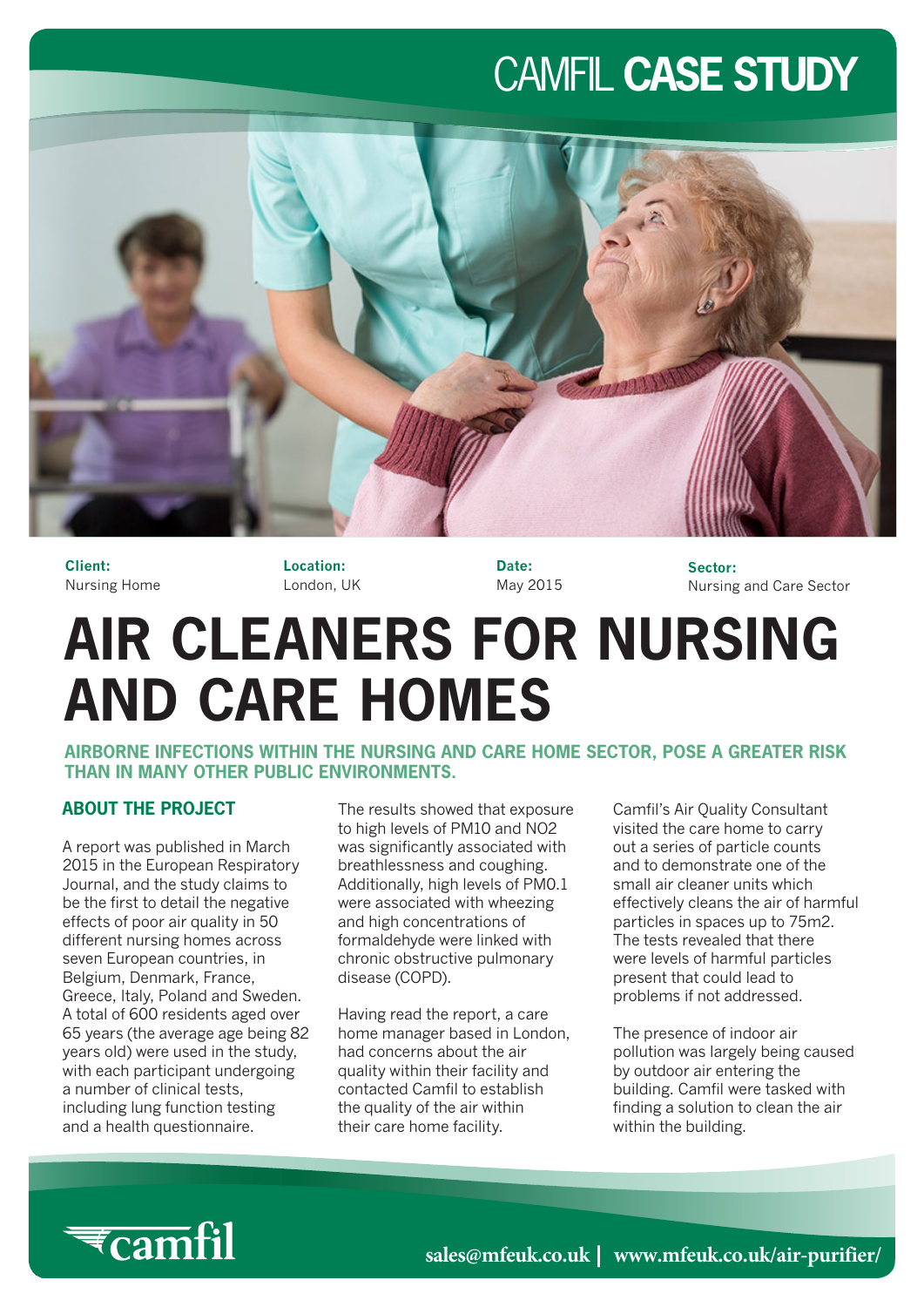## CAMFIL **CASE STUDY**



**Client:** Nursing Home **Location:** London, UK **Date:** May 2015 **Sector:** Nursing and Care Sector

# **AIR CLEANERS FOR NURSING AND CARE HOMES**

**AIRBORNE INFECTIONS WITHIN THE NURSING AND CARE HOME SECTOR, POSE A GREATER RISK THAN IN MANY OTHER PUBLIC ENVIRONMENTS.**

#### **ABOUT THE PROJECT**

A report was published in March 2015 in the European Respiratory Journal, and the study claims to be the first to detail the negative effects of poor air quality in 50 different nursing homes across seven European countries, in Belgium, Denmark, France, Greece, Italy, Poland and Sweden. A total of 600 residents aged over 65 years (the average age being 82 years old) were used in the study, with each participant undergoing a number of clinical tests, including lung function testing and a health questionnaire.

The results showed that exposure to high levels of PM10 and NO2 was significantly associated with breathlessness and coughing. Additionally, high levels of PM0.1 were associated with wheezing and high concentrations of formaldehyde were linked with chronic obstructive pulmonary disease (COPD).

Having read the report, a care home manager based in London, had concerns about the air quality within their facility and contacted Camfil to establish the quality of the air within their care home facility.

Camfil's Air Quality Consultant visited the care home to carry out a series of particle counts and to demonstrate one of the small air cleaner units which effectively cleans the air of harmful particles in spaces up to 75m2. The tests revealed that there were levels of harmful particles present that could lead to problems if not addressed.

The presence of indoor air pollution was largely being caused by outdoor air entering the building. Camfil were tasked with finding a solution to clean the air within the building.